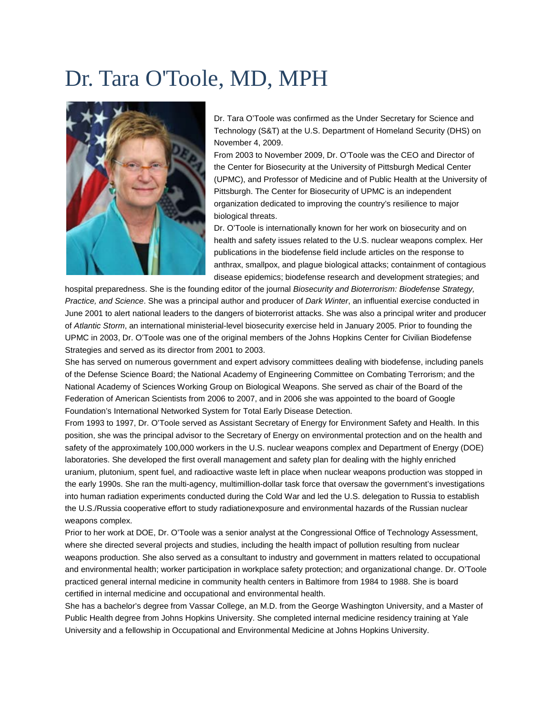# Dr. Tara O'Toole, MD, MPH



Dr. Tara O'Toole was confirmed as the Under Secretary for Science and Technology (S&T) at the U.S. Department of Homeland Security (DHS) on November 4, 2009.

From 2003 to November 2009, Dr. O'Toole was the CEO and Director of the Center for Biosecurity at the University of Pittsburgh Medical Center (UPMC), and Professor of Medicine and of Public Health at the University of Pittsburgh. The Center for Biosecurity of UPMC is an independent organization dedicated to improving the country's resilience to major biological threats.

Dr. O'Toole is internationally known for her work on biosecurity and on health and safety issues related to the U.S. nuclear weapons complex. Her publications in the biodefense field include articles on the response to anthrax, smallpox, and plague biological attacks; containment of contagious disease epidemics; biodefense research and development strategies; and

hospital preparedness. She is the founding editor of the journal *Biosecurity and Bioterrorism: Biodefense Strategy, Practice, and Science*. She was a principal author and producer of *Dark Winter*, an influential exercise conducted in June 2001 to alert national leaders to the dangers of bioterrorist attacks. She was also a principal writer and producer of *Atlantic Storm*, an international ministerial-level biosecurity exercise held in January 2005. Prior to founding the UPMC in 2003, Dr. O'Toole was one of the original members of the Johns Hopkins Center for Civilian Biodefense Strategies and served as its director from 2001 to 2003.

She has served on numerous government and expert advisory committees dealing with biodefense, including panels of the Defense Science Board; the National Academy of Engineering Committee on Combating Terrorism; and the National Academy of Sciences Working Group on Biological Weapons. She served as chair of the Board of the Federation of American Scientists from 2006 to 2007, and in 2006 she was appointed to the board of Google Foundation's International Networked System for Total Early Disease Detection.

From 1993 to 1997, Dr. O'Toole served as Assistant Secretary of Energy for Environment Safety and Health. In this position, she was the principal advisor to the Secretary of Energy on environmental protection and on the health and safety of the approximately 100,000 workers in the U.S. nuclear weapons complex and Department of Energy (DOE) laboratories. She developed the first overall management and safety plan for dealing with the highly enriched uranium, plutonium, spent fuel, and radioactive waste left in place when nuclear weapons production was stopped in the early 1990s. She ran the multi-agency, multimillion-dollar task force that oversaw the government's investigations into human radiation experiments conducted during the Cold War and led the U.S. delegation to Russia to establish the U.S./Russia cooperative effort to study radiationexposure and environmental hazards of the Russian nuclear weapons complex.

Prior to her work at DOE, Dr. O'Toole was a senior analyst at the Congressional Office of Technology Assessment, where she directed several projects and studies, including the health impact of pollution resulting from nuclear weapons production. She also served as a consultant to industry and government in matters related to occupational and environmental health; worker participation in workplace safety protection; and organizational change. Dr. O'Toole practiced general internal medicine in community health centers in Baltimore from 1984 to 1988. She is board certified in internal medicine and occupational and environmental health.

She has a bachelor's degree from Vassar College, an M.D. from the George Washington University, and a Master of Public Health degree from Johns Hopkins University. She completed internal medicine residency training at Yale University and a fellowship in Occupational and Environmental Medicine at Johns Hopkins University.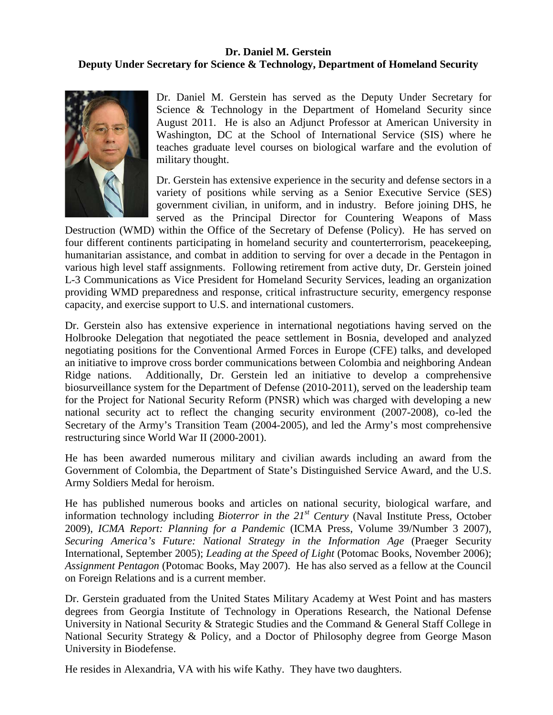## **Dr. Daniel M. Gerstein Deputy Under Secretary for Science & Technology, Department of Homeland Security**



Dr. Daniel M. Gerstein has served as the Deputy Under Secretary for Science & Technology in the Department of Homeland Security since August 2011. He is also an Adjunct Professor at American University in Washington, DC at the School of International Service (SIS) where he teaches graduate level courses on biological warfare and the evolution of military thought.

Dr. Gerstein has extensive experience in the security and defense sectors in a variety of positions while serving as a Senior Executive Service (SES) government civilian, in uniform, and in industry. Before joining DHS, he served as the Principal Director for Countering Weapons of Mass

Destruction (WMD) within the Office of the Secretary of Defense (Policy). He has served on four different continents participating in homeland security and counterterrorism, peacekeeping, humanitarian assistance, and combat in addition to serving for over a decade in the Pentagon in various high level staff assignments. Following retirement from active duty, Dr. Gerstein joined L-3 Communications as Vice President for Homeland Security Services, leading an organization providing WMD preparedness and response, critical infrastructure security, emergency response capacity, and exercise support to U.S. and international customers.

Dr. Gerstein also has extensive experience in international negotiations having served on the Holbrooke Delegation that negotiated the peace settlement in Bosnia, developed and analyzed negotiating positions for the Conventional Armed Forces in Europe (CFE) talks, and developed an initiative to improve cross border communications between Colombia and neighboring Andean Ridge nations. Additionally, Dr. Gerstein led an initiative to develop a comprehensive biosurveillance system for the Department of Defense (2010-2011), served on the leadership team for the Project for National Security Reform (PNSR) which was charged with developing a new national security act to reflect the changing security environment (2007-2008), co-led the Secretary of the Army's Transition Team (2004-2005), and led the Army's most comprehensive restructuring since World War II (2000-2001).

He has been awarded numerous military and civilian awards including an award from the Government of Colombia, the Department of State's Distinguished Service Award, and the U.S. Army Soldiers Medal for heroism.

He has published numerous books and articles on national security, biological warfare, and information technology including *Bioterror in the 21st Century* (Naval Institute Press, October 2009), *ICMA Report: Planning for a Pandemic* (ICMA Press, Volume 39/Number 3 2007), *Securing America's Future: National Strategy in the Information Age* (Praeger Security International, September 2005); *Leading at the Speed of Light* (Potomac Books, November 2006); *Assignment Pentagon* (Potomac Books, May 2007). He has also served as a fellow at the Council on Foreign Relations and is a current member.

Dr. Gerstein graduated from the United States Military Academy at West Point and has masters degrees from Georgia Institute of Technology in Operations Research, the National Defense University in National Security & Strategic Studies and the Command & General Staff College in National Security Strategy & Policy, and a Doctor of Philosophy degree from George Mason University in Biodefense.

He resides in Alexandria, VA with his wife Kathy. They have two daughters.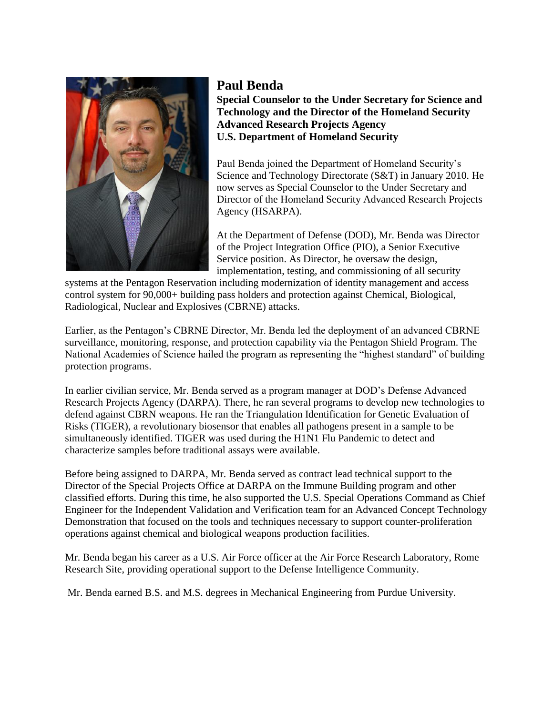

## **Paul Benda**

**Special Counselor to the Under Secretary for Science and Technology and the Director of the Homeland Security Advanced Research Projects Agency U.S. Department of Homeland Security** 

Paul Benda joined the Department of Homeland Security's Science and Technology Directorate (S&T) in January 2010. He now serves as Special Counselor to the Under Secretary and Director of the Homeland Security Advanced Research Projects Agency (HSARPA).

At the Department of Defense (DOD), Mr. Benda was Director of the Project Integration Office (PIO), a Senior Executive Service position. As Director, he oversaw the design, implementation, testing, and commissioning of all security

systems at the Pentagon Reservation including modernization of identity management and access control system for 90,000+ building pass holders and protection against Chemical, Biological, Radiological, Nuclear and Explosives (CBRNE) attacks.

Earlier, as the Pentagon's CBRNE Director, Mr. Benda led the deployment of an advanced CBRNE surveillance, monitoring, response, and protection capability via the Pentagon Shield Program. The National Academies of Science hailed the program as representing the "highest standard" of building protection programs.

In earlier civilian service, Mr. Benda served as a program manager at DOD's Defense Advanced Research Projects Agency (DARPA). There, he ran several programs to develop new technologies to defend against CBRN weapons. He ran the Triangulation Identification for Genetic Evaluation of Risks (TIGER), a revolutionary biosensor that enables all pathogens present in a sample to be simultaneously identified. TIGER was used during the H1N1 Flu Pandemic to detect and characterize samples before traditional assays were available.

Before being assigned to DARPA, Mr. Benda served as contract lead technical support to the Director of the Special Projects Office at DARPA on the Immune Building program and other classified efforts. During this time, he also supported the U.S. Special Operations Command as Chief Engineer for the Independent Validation and Verification team for an Advanced Concept Technology Demonstration that focused on the tools and techniques necessary to support counter-proliferation operations against chemical and biological weapons production facilities.

Mr. Benda began his career as a U.S. Air Force officer at the Air Force Research Laboratory, Rome Research Site, providing operational support to the Defense Intelligence Community.

Mr. Benda earned B.S. and M.S. degrees in Mechanical Engineering from Purdue University.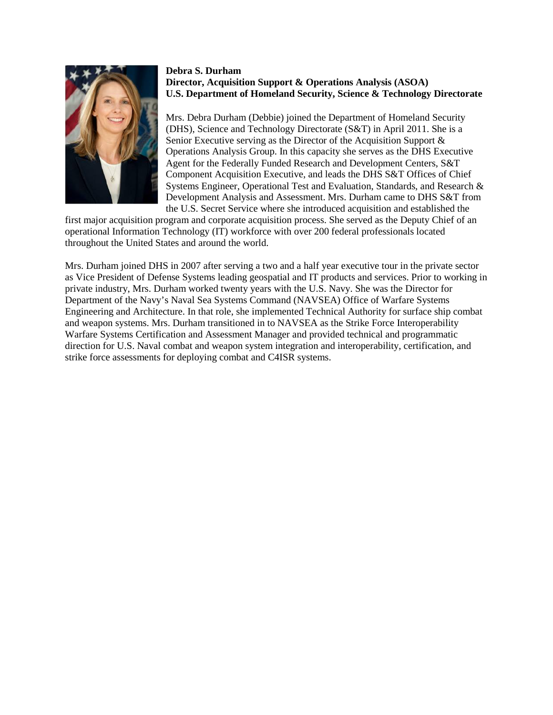

#### **Debra S. Durham Director, Acquisition Support & Operations Analysis (ASOA) U.S. Department of Homeland Security, Science & Technology Directorate**

Mrs. Debra Durham (Debbie) joined the Department of Homeland Security (DHS), Science and Technology Directorate (S&T) in April 2011. She is a Senior Executive serving as the Director of the Acquisition Support & Operations Analysis Group. In this capacity she serves as the DHS Executive Agent for the Federally Funded Research and Development Centers, S&T Component Acquisition Executive, and leads the DHS S&T Offices of Chief Systems Engineer, Operational Test and Evaluation, Standards, and Research & Development Analysis and Assessment. Mrs. Durham came to DHS S&T from the U.S. Secret Service where she introduced acquisition and established the

first major acquisition program and corporate acquisition process. She served as the Deputy Chief of an operational Information Technology (IT) workforce with over 200 federal professionals located throughout the United States and around the world.

Mrs. Durham joined DHS in 2007 after serving a two and a half year executive tour in the private sector as Vice President of Defense Systems leading geospatial and IT products and services. Prior to working in private industry, Mrs. Durham worked twenty years with the U.S. Navy. She was the Director for Department of the Navy's Naval Sea Systems Command (NAVSEA) Office of Warfare Systems Engineering and Architecture. In that role, she implemented Technical Authority for surface ship combat and weapon systems. Mrs. Durham transitioned in to NAVSEA as the Strike Force Interoperability Warfare Systems Certification and Assessment Manager and provided technical and programmatic direction for U.S. Naval combat and weapon system integration and interoperability, certification, and strike force assessments for deploying combat and C4ISR systems.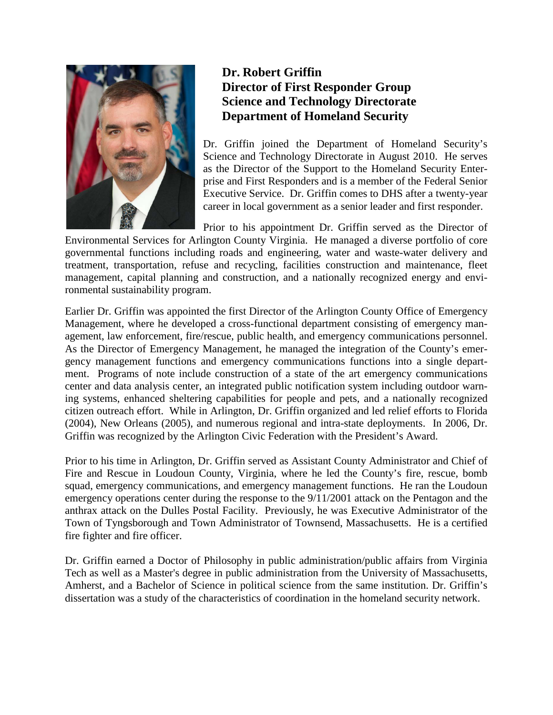

# **Dr. Robert Griffin Director of First Responder Group Science and Technology Directorate Department of Homeland Security**

Dr. Griffin joined the Department of Homeland Security's Science and Technology Directorate in August 2010. He serves as the Director of the Support to the Homeland Security Enterprise and First Responders and is a member of the Federal Senior Executive Service. Dr. Griffin comes to DHS after a twenty-year career in local government as a senior leader and first responder.

Prior to his appointment Dr. Griffin served as the Director of

Environmental Services for Arlington County Virginia. He managed a diverse portfolio of core governmental functions including roads and engineering, water and waste-water delivery and treatment, transportation, refuse and recycling, facilities construction and maintenance, fleet management, capital planning and construction, and a nationally recognized energy and environmental sustainability program.

Earlier Dr. Griffin was appointed the first Director of the Arlington County Office of Emergency Management, where he developed a cross-functional department consisting of emergency management, law enforcement, fire/rescue, public health, and emergency communications personnel. As the Director of Emergency Management, he managed the integration of the County's emergency management functions and emergency communications functions into a single department. Programs of note include construction of a state of the art emergency communications center and data analysis center, an integrated public notification system including outdoor warning systems, enhanced sheltering capabilities for people and pets, and a nationally recognized citizen outreach effort. While in Arlington, Dr. Griffin organized and led relief efforts to Florida (2004), New Orleans (2005), and numerous regional and intra-state deployments. In 2006, Dr. Griffin was recognized by the Arlington Civic Federation with the President's Award.

Prior to his time in Arlington, Dr. Griffin served as Assistant County Administrator and Chief of Fire and Rescue in Loudoun County, Virginia, where he led the County's fire, rescue, bomb squad, emergency communications, and emergency management functions. He ran the Loudoun emergency operations center during the response to the 9/11/2001 attack on the Pentagon and the anthrax attack on the Dulles Postal Facility. Previously, he was Executive Administrator of the Town of Tyngsborough and Town Administrator of Townsend, Massachusetts. He is a certified fire fighter and fire officer.

Dr. Griffin earned a Doctor of Philosophy in public administration/public affairs from Virginia Tech as well as a Master's degree in public administration from the University of Massachusetts, Amherst, and a Bachelor of Science in political science from the same institution. Dr. Griffin's dissertation was a study of the characteristics of coordination in the homeland security network.